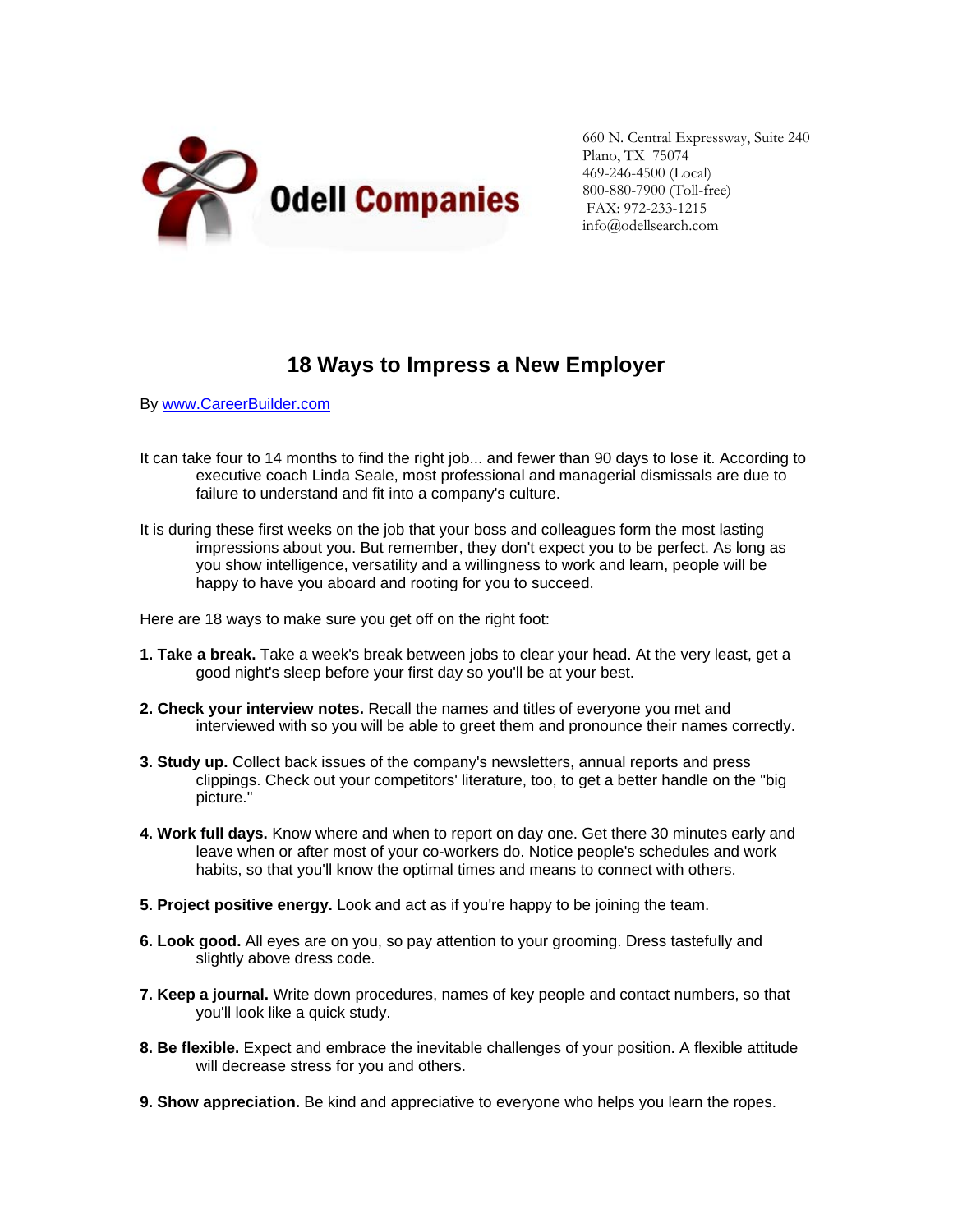

660 N. Central Expressway, Suite 240 Plano, TX 75074 469-246-4500 (Local) 800-880-7900 (Toll-free) FAX: 972-233-1215 info@odellsearch.com

## **18 Ways to Impress a New Employer**

By [www.CareerBuilder.com](http://www.careerbuilder.com/)

- It can take four to 14 months to find the right job... and fewer than 90 days to lose it. According to executive coach Linda Seale, most professional and managerial dismissals are due to failure to understand and fit into a company's culture.
- It is during these first weeks on the job that your boss and colleagues form the most lasting impressions about you. But remember, they don't expect you to be perfect. As long as you show intelligence, versatility and a willingness to work and learn, people will be happy to have you aboard and rooting for you to succeed.

Here are 18 ways to make sure you get off on the right foot:

- **1. Take a break.** Take a week's break between jobs to clear your head. At the very least, get a good night's sleep before your first day so you'll be at your best.
- **2. Check your interview notes.** Recall the names and titles of everyone you met and interviewed with so you will be able to greet them and pronounce their names correctly.
- **3. Study up.** Collect back issues of the company's newsletters, annual reports and press clippings. Check out your competitors' literature, too, to get a better handle on the "big picture."
- **4. Work full days.** Know where and when to report on day one. Get there 30 minutes early and leave when or after most of your co-workers do. Notice people's schedules and work habits, so that you'll know the optimal times and means to connect with others.
- **5. Project positive energy.** Look and act as if you're happy to be joining the team.
- **6. Look good.** All eyes are on you, so pay attention to your grooming. Dress tastefully and slightly above dress code.
- **7. Keep a journal.** Write down procedures, names of key people and contact numbers, so that you'll look like a quick study.
- **8. Be flexible.** Expect and embrace the inevitable challenges of your position. A flexible attitude will decrease stress for you and others.
- **9. Show appreciation.** Be kind and appreciative to everyone who helps you learn the ropes.